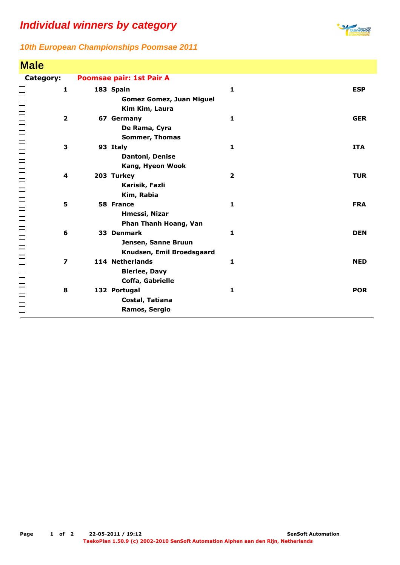## **Individual winners by category**



## **10th European Championships Poomsae 2011**

| <b>Male</b>             |                                 |            |
|-------------------------|---------------------------------|------------|
| Category:               | Poomsae pair: 1st Pair A        |            |
| $\mathbf{1}$            | 183 Spain<br>$\mathbf{1}$       | <b>ESP</b> |
|                         | <b>Gomez Gomez, Juan Miguel</b> |            |
|                         | Kim Kim, Laura                  |            |
| $\mathbf{2}$            | $\mathbf{1}$<br>67 Germany      | <b>GER</b> |
|                         | De Rama, Cyra                   |            |
|                         | <b>Sommer, Thomas</b>           |            |
| 3                       | 93 Italy<br>1                   | <b>ITA</b> |
|                         | Dantoni, Denise                 |            |
|                         | Kang, Hyeon Wook                |            |
| 4                       | 203 Turkey<br>$\overline{2}$    | <b>TUR</b> |
|                         | Karisik, Fazli                  |            |
|                         | Kim, Rabia                      |            |
| 5                       | $\mathbf{1}$<br>58 France       | <b>FRA</b> |
|                         | Hmessi, Nizar                   |            |
|                         | Phan Thanh Hoang, Van           |            |
| 6                       | 33 Denmark<br>$\mathbf{1}$      | <b>DEN</b> |
|                         | Jensen, Sanne Bruun             |            |
|                         | Knudsen, Emil Broedsgaard       |            |
| $\overline{\mathbf{z}}$ | 114 Netherlands<br>$\mathbf{1}$ | <b>NED</b> |
|                         | <b>Bierlee, Davy</b>            |            |
|                         | Coffa, Gabrielle                |            |
| 8                       | $\mathbf{1}$<br>132 Portugal    | <b>POR</b> |
| 10000000000000000000000 | Costal, Tatiana                 |            |
|                         | Ramos, Sergio                   |            |